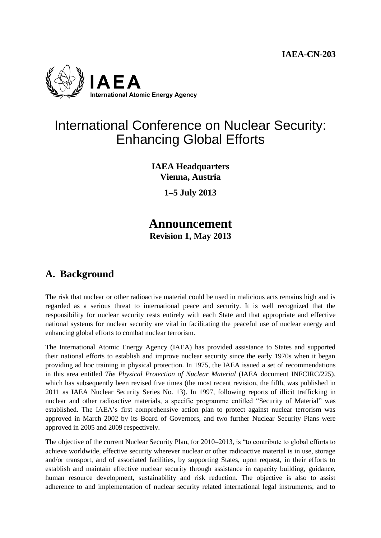

# International Conference on Nuclear Security: Enhancing Global Efforts

**IAEA Headquarters Vienna, Austria**

**1–5 July 2013**

### **Announcement Revision 1, May 2013**

### **A. Background**

The risk that nuclear or other radioactive material could be used in malicious acts remains high and is regarded as a serious threat to international peace and security. It is well recognized that the responsibility for nuclear security rests entirely with each State and that appropriate and effective national systems for nuclear security are vital in facilitating the peaceful use of nuclear energy and enhancing global efforts to combat nuclear terrorism.

The International Atomic Energy Agency (IAEA) has provided assistance to States and supported their national efforts to establish and improve nuclear security since the early 1970s when it began providing ad hoc training in physical protection. In 1975, the IAEA issued a set of recommendations in this area entitled *The Physical Protection of Nuclear Material* (IAEA document INFCIRC/225), which has subsequently been revised five times (the most recent revision, the fifth, was published in 2011 as IAEA Nuclear Security Series No. 13). In 1997, following reports of illicit trafficking in nuclear and other radioactive materials, a specific programme entitled "Security of Material" was established. The IAEA's first comprehensive action plan to protect against nuclear terrorism was approved in March 2002 by its Board of Governors, and two further Nuclear Security Plans were approved in 2005 and 2009 respectively.

The objective of the current Nuclear Security Plan, for 2010–2013, is "to contribute to global efforts to achieve worldwide, effective security wherever nuclear or other radioactive material is in use, storage and/or transport, and of associated facilities, by supporting States, upon request, in their efforts to establish and maintain effective nuclear security through assistance in capacity building, guidance, human resource development, sustainability and risk reduction. The objective is also to assist adherence to and implementation of nuclear security related international legal instruments; and to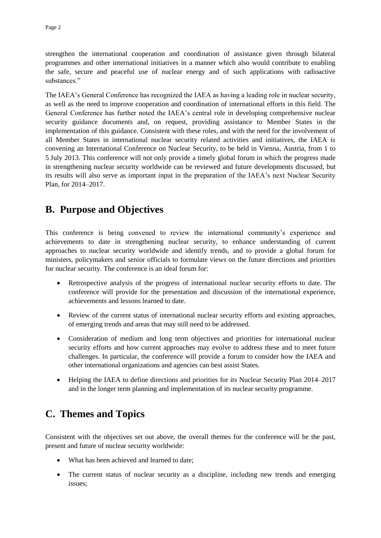strengthen the international cooperation and coordination of assistance given through bilateral programmes and other international initiatives in a manner which also would contribute to enabling the safe, secure and peaceful use of nuclear energy and of such applications with radioactive substances."

The IAEA's General Conference has recognized the IAEA as having a leading role in nuclear security, as well as the need to improve cooperation and coordination of international efforts in this field. The General Conference has further noted the IAEA's central role in developing comprehensive nuclear security guidance documents and, on request, providing assistance to Member States in the implementation of this guidance. Consistent with these roles, and with the need for the involvement of all Member States in international nuclear security related activities and initiatives, the IAEA is convening an International Conference on Nuclear Security, to be held in Vienna, Austria, from 1 to 5 July 2013. This conference will not only provide a timely global forum in which the progress made in strengthening nuclear security worldwide can be reviewed and future developments discussed, but its results will also serve as important input in the preparation of the IAEA's next Nuclear Security Plan, for 2014–2017.

### **B. Purpose and Objectives**

This conference is being convened to review the international community's experience and achievements to date in strengthening nuclear security, to enhance understanding of current approaches to nuclear security worldwide and identify trends, and to provide a global forum for ministers, policymakers and senior officials to formulate views on the future directions and priorities for nuclear security. The conference is an ideal forum for:

- Retrospective analysis of the progress of international nuclear security efforts to date. The conference will provide for the presentation and discussion of the international experience, achievements and lessons learned to date.
- Review of the current status of international nuclear security efforts and existing approaches, of emerging trends and areas that may still need to be addressed.
- Consideration of medium and long term objectives and priorities for international nuclear security efforts and how current approaches may evolve to address these and to meet future challenges. In particular, the conference will provide a forum to consider how the IAEA and other international organizations and agencies can best assist States.
- Helping the IAEA to define directions and priorities for its Nuclear Security Plan 2014–2017 and in the longer term planning and implementation of its nuclear security programme.

## **C. Themes and Topics**

Consistent with the objectives set out above, the overall themes for the conference will be the past, present and future of nuclear security worldwide:

- What has been achieved and learned to date;
- The current status of nuclear security as a discipline, including new trends and emerging issues;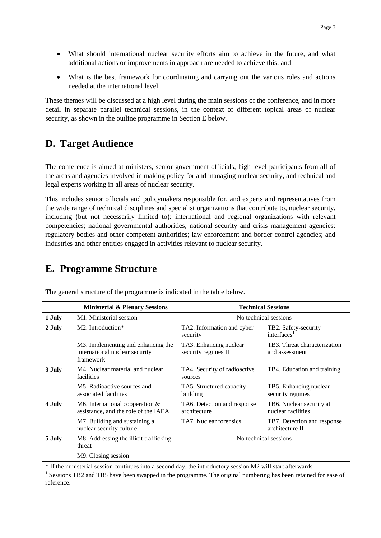- What should international nuclear security efforts aim to achieve in the future, and what additional actions or improvements in approach are needed to achieve this; and
- What is the best framework for coordinating and carrying out the various roles and actions needed at the international level.

These themes will be discussed at a high level during the main sessions of the conference, and in more detail in separate parallel technical sessions, in the context of different topical areas of nuclear security, as shown in the outline programme in Section E below.

#### **D. Target Audience**

The conference is aimed at ministers, senior government officials, high level participants from all of the areas and agencies involved in making policy for and managing nuclear security, and technical and legal experts working in all areas of nuclear security.

This includes senior officials and policymakers responsible for, and experts and representatives from the wide range of technical disciplines and specialist organizations that contribute to, nuclear security, including (but not necessarily limited to): international and regional organizations with relevant competencies; national governmental authorities; national security and crisis management agencies; regulatory bodies and other competent authorities; law enforcement and border control agencies; and industries and other entities engaged in activities relevant to nuclear security.

#### **E. Programme Structure**

| <b>Ministerial &amp; Plenary Sessions</b> |                                                                                   | <b>Technical Sessions</b>                     |                                                         |
|-------------------------------------------|-----------------------------------------------------------------------------------|-----------------------------------------------|---------------------------------------------------------|
| 1 July                                    | M <sub>1</sub> . Ministerial session                                              | No technical sessions                         |                                                         |
| 2 July                                    | $M2$ . Introduction*                                                              | TA2. Information and cyber<br>security        | TB2. Safety-security<br>interfaces $1$                  |
|                                           | M3. Implementing and enhancing the<br>international nuclear security<br>framework | TA3. Enhancing nuclear<br>security regimes II | TB3. Threat characterization<br>and assessment          |
| 3 July                                    | M4. Nuclear material and nuclear<br>facilities                                    | TA4. Security of radioactive<br>sources       | TB4. Education and training                             |
|                                           | M5. Radioactive sources and<br>associated facilities                              | TA5. Structured capacity<br>building          | TB5. Enhancing nuclear<br>security regimes <sup>1</sup> |
| 4 July                                    | M6. International cooperation $&$<br>assistance, and the role of the IAEA         | TA6. Detection and response<br>architecture   | TB6. Nuclear security at<br>nuclear facilities          |
|                                           | M7. Building and sustaining a<br>nuclear security culture                         | TA7. Nuclear forensics                        | TB7. Detection and response<br>architecture II          |
| 5 July                                    | M8. Addressing the illicit trafficking<br>threat                                  | No technical sessions                         |                                                         |
|                                           | M9. Closing session                                                               |                                               |                                                         |

The general structure of the programme is indicated in the table below.

\* If the ministerial session continues into a second day, the introductory session M2 will start afterwards.

<sup>1</sup> Sessions TB2 and TB5 have been swapped in the programme. The original numbering has been retained for ease of reference.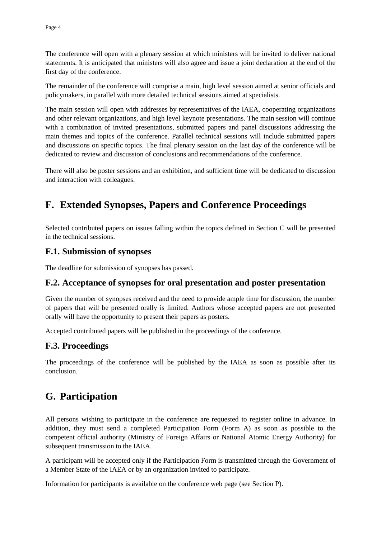The conference will open with a plenary session at which ministers will be invited to deliver national statements. It is anticipated that ministers will also agree and issue a joint declaration at the end of the first day of the conference.

The remainder of the conference will comprise a main, high level session aimed at senior officials and policymakers, in parallel with more detailed technical sessions aimed at specialists.

The main session will open with addresses by representatives of the IAEA, cooperating organizations and other relevant organizations, and high level keynote presentations. The main session will continue with a combination of invited presentations, submitted papers and panel discussions addressing the main themes and topics of the conference. Parallel technical sessions will include submitted papers and discussions on specific topics. The final plenary session on the last day of the conference will be dedicated to review and discussion of conclusions and recommendations of the conference.

There will also be poster sessions and an exhibition, and sufficient time will be dedicated to discussion and interaction with colleagues.

## **F. Extended Synopses, Papers and Conference Proceedings**

Selected contributed papers on issues falling within the topics defined in Section C will be presented in the technical sessions.

#### **F.1. Submission of synopses**

[The](mailto:The) deadline for submission of synopses has passed.

#### **F.2. Acceptance of synopses for oral presentation and poster presentation**

Given the number of synopses received and the need to provide ample time for discussion, the number of papers that will be presented orally is limited. Authors whose accepted papers are not presented orally will have the opportunity to present their papers as posters.

Accepted contributed papers will be published in the proceedings of the conference.

#### **F.3. Proceedings**

The proceedings of the conference will be published by the IAEA as soon as possible after its conclusion.

## **G. Participation**

All persons wishing to participate in the conference are requested to register online in advance. In addition, they must send a completed Participation Form (Form A) as soon as possible to the competent official authority (Ministry of Foreign Affairs or National Atomic Energy Authority) for subsequent transmission to the IAEA.

A participant will be accepted only if the Participation Form is transmitted through the Government of a Member State of the IAEA or by an organization invited to participate.

Information for participants is available on the conference web page (see Section P).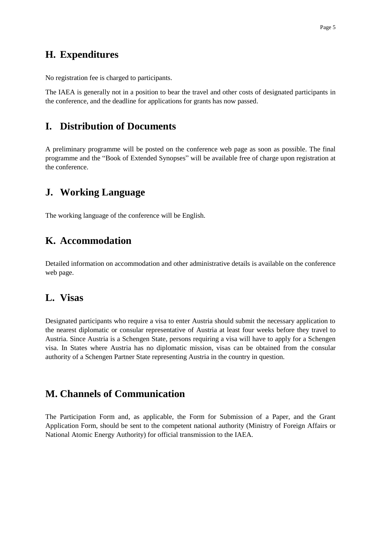#### **H. Expenditures**

No registration fee is charged to participants.

The IAEA is generally not in a position to bear the travel and other costs of designated participants in the conference, and the deadline for applications for grants has now passed.

#### **I. Distribution of Documents**

A preliminary programme will be posted on the conference web page as soon as possible. The final programme and the "Book of Extended Synopses" will be available free of charge upon registration at the conference.

#### **J. Working Language**

The working language of the conference will be English.

### **K. Accommodation**

Detailed information on accommodation and other administrative details is available on the conference web page.

#### **L. Visas**

Designated participants who require a visa to enter Austria should submit the necessary application to the nearest diplomatic or consular representative of Austria at least four weeks before they travel to Austria. Since Austria is a Schengen State, persons requiring a visa will have to apply for a Schengen visa. In States where Austria has no diplomatic mission, visas can be obtained from the consular authority of a Schengen Partner State representing Austria in the country in question.

#### **M. Channels of Communication**

The Participation Form and, as applicable, the Form for Submission of a Paper, and the Grant Application Form, should be sent to the competent national authority (Ministry of Foreign Affairs or National Atomic Energy Authority) for official transmission to the IAEA.